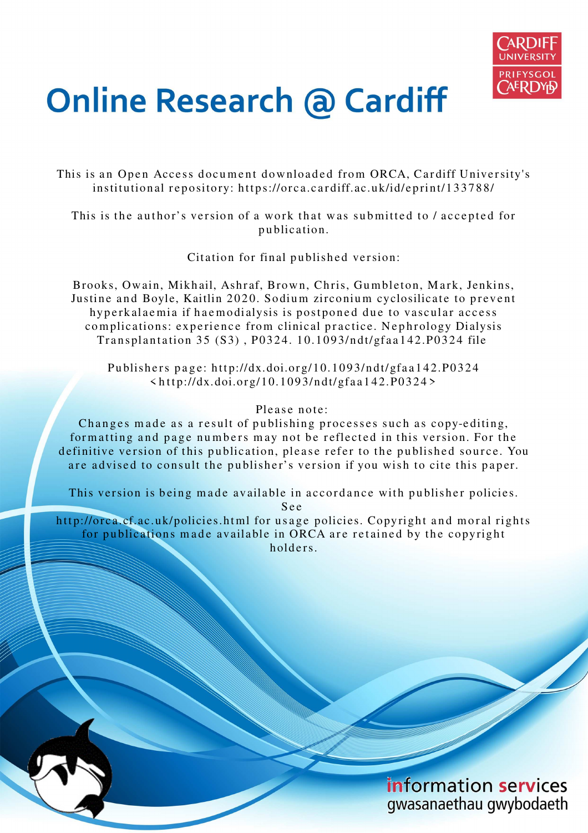

# **Online Research @ Cardiff**

This is an Open Access document downloaded from ORCA, Cardiff University's institutional repository: https://orca.cardiff.ac.uk/id/eprint/133788/

This is the author's version of a work that was submitted to / accepted for p u blication.

Citation for final published version:

Brooks, Owain, Mikhail, Ashraf, Brown, Chris, Gumbleton, Mark, Jenkins, Justine and Boyle, Kaitlin 2020. Sodium zirconium cyclosilicate to prevent hyperkalaemia if haemodialysis is postponed due to vascular access complications: experience from clinical practice. Nephrology Dialysis Transplantation 35 (S3), P0324. 10.1093/ndt/gfaa142.P0324 file

Publishers page: http://dx.doi.org/10.1093/ndt/gfaa142.P0324  $\frac{\text{th}}{\text{tip}}$ ://dx.doi.org/10.1093/ndt/gfaa142.P0324>

### Please note:

Changes made as a result of publishing processes such as copy-editing, formatting and page numbers may not be reflected in this version. For the definitive version of this publication, please refer to the published source. You are advised to consult the publisher's version if you wish to cite this paper.

This version is being made available in accordance with publisher policies.

S e e

http://orca.cf.ac.uk/policies.html for usage policies. Copyright and moral rights for publications made available in ORCA are retained by the copyright holders.

> information services gwasanaethau gwybodaeth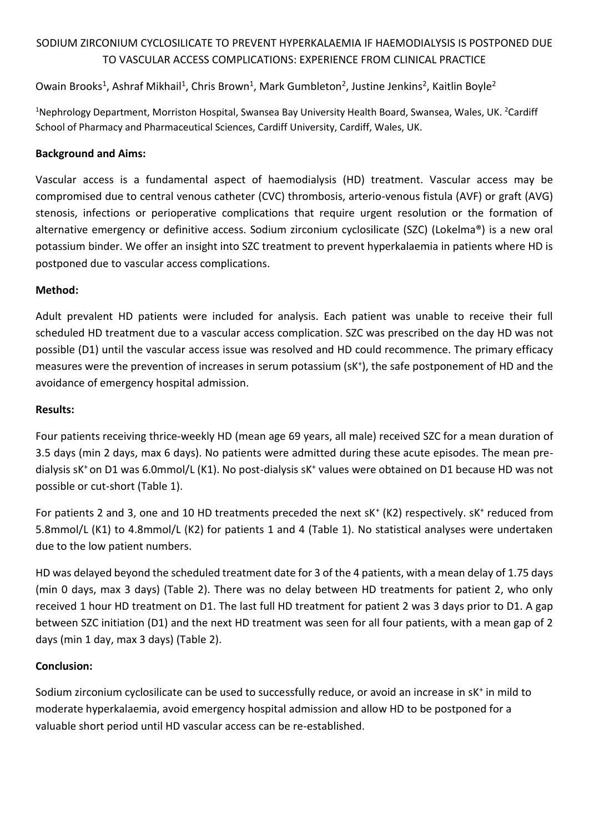# SODIUM ZIRCONIUM CYCLOSILICATE TO PREVENT HYPERKALAEMIA IF HAEMODIALYSIS IS POSTPONED DUE TO VASCULAR ACCESS COMPLICATIONS: EXPERIENCE FROM CLINICAL PRACTICE

## Owain Brooks<sup>1</sup>, Ashraf Mikhail<sup>1</sup>, Chris Brown<sup>1</sup>, Mark Gumbleton<sup>2</sup>, Justine Jenkins<sup>2</sup>, Kaitlin Boyle<sup>2</sup>

<sup>1</sup>Nephrology Department, Morriston Hospital, Swansea Bay University Health Board, Swansea, Wales, UK. <sup>2</sup>Cardiff School of Pharmacy and Pharmaceutical Sciences, Cardiff University, Cardiff, Wales, UK.

#### **Background and Aims:**

Vascular access is a fundamental aspect of haemodialysis (HD) treatment. Vascular access may be compromised due to central venous catheter (CVC) thrombosis, arterio-venous fistula (AVF) or graft (AVG) stenosis, infections or perioperative complications that require urgent resolution or the formation of alternative emergency or definitive access. Sodium zirconium cyclosilicate (SZC) (Lokelma®) is a new oral potassium binder. We offer an insight into SZC treatment to prevent hyperkalaemia in patients where HD is postponed due to vascular access complications.

#### **Method:**

Adult prevalent HD patients were included for analysis. Each patient was unable to receive their full scheduled HD treatment due to a vascular access complication. SZC was prescribed on the day HD was not possible (D1) until the vascular access issue was resolved and HD could recommence. The primary efficacy measures were the prevention of increases in serum potassium (sK<sup>+</sup> ), the safe postponement of HD and the avoidance of emergency hospital admission.

#### **Results:**

Four patients receiving thrice-weekly HD (mean age 69 years, all male) received SZC for a mean duration of 3.5 days (min 2 days, max 6 days). No patients were admitted during these acute episodes. The mean predialysis sK<sup>+</sup> on D1 was 6.0mmol/L (K1). No post-dialysis sK<sup>+</sup> values were obtained on D1 because HD was not possible or cut-short (Table 1).

For patients 2 and 3, one and 10 HD treatments preceded the next sK<sup>+</sup> (K2) respectively. sK<sup>+</sup> reduced from 5.8mmol/L (K1) to 4.8mmol/L (K2) for patients 1 and 4 (Table 1). No statistical analyses were undertaken due to the low patient numbers.

HD was delayed beyond the scheduled treatment date for 3 of the 4 patients, with a mean delay of 1.75 days (min 0 days, max 3 days) (Table 2). There was no delay between HD treatments for patient 2, who only received 1 hour HD treatment on D1. The last full HD treatment for patient 2 was 3 days prior to D1. A gap between SZC initiation (D1) and the next HD treatment was seen for all four patients, with a mean gap of 2 days (min 1 day, max 3 days) (Table 2).

#### **Conclusion:**

Sodium zirconium cyclosilicate can be used to successfully reduce, or avoid an increase in sK<sup>+</sup> in mild to moderate hyperkalaemia, avoid emergency hospital admission and allow HD to be postponed for a valuable short period until HD vascular access can be re-established.